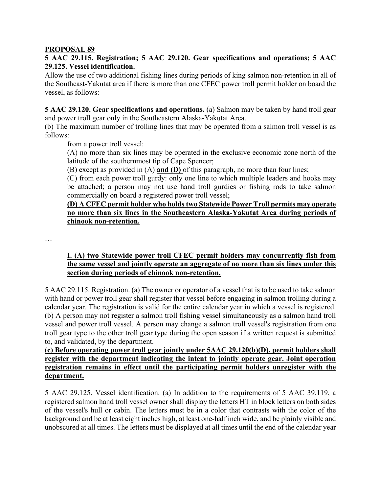#### **PROPOSAL 89**

# **5 AAC 29.115. Registration; 5 AAC 29.120. Gear specifications and operations; 5 AAC 29.125. Vessel identification.**

Allow the use of two additional fishing lines during periods of king salmon non-retention in all of the Southeast-Yakutat area if there is more than one CFEC power troll permit holder on board the vessel, as follows:

**5 AAC 29.120. Gear specifications and operations.** (a) Salmon may be taken by hand troll gear and power troll gear only in the Southeastern Alaska-Yakutat Area.

(b) The maximum number of trolling lines that may be operated from a salmon troll vessel is as follows:

from a power troll vessel:

(A) no more than six lines may be operated in the exclusive economic zone north of the latitude of the southernmost tip of Cape Spencer;

(B) except as provided in (A) **and (D)** of this paragraph, no more than four lines;

(C) from each power troll gurdy: only one line to which multiple leaders and hooks may be attached; a person may not use hand troll gurdies or fishing rods to take salmon commercially on board a registered power troll vessel;

# **(D) A CFEC permit holder who holds two Statewide Power Troll permits may operate no more than six lines in the Southeastern Alaska-Yakutat Area during periods of chinook non-retention.**

…

### **I. (A) two Statewide power troll CFEC permit holders may concurrently fish from the same vessel and jointly operate an aggregate of no more than six lines under this section during periods of chinook non-retention.**

5 AAC 29.115. Registration. (a) The owner or operator of a vessel that is to be used to take salmon with hand or power troll gear shall register that vessel before engaging in salmon trolling during a calendar year. The registration is valid for the entire calendar year in which a vessel is registered. (b) A person may not register a salmon troll fishing vessel simultaneously as a salmon hand troll vessel and power troll vessel. A person may change a salmon troll vessel's registration from one troll gear type to the other troll gear type during the open season if a written request is submitted to, and validated, by the department.

# **(c) Before operating power troll gear jointly under 5AAC 29.120(b)(D), permit holders shall register with the department indicating the intent to jointly operate gear. Joint operation registration remains in effect until the participating permit holders unregister with the department.**

5 AAC 29.125. Vessel identification. (a) In addition to the requirements of 5 AAC 39.119, a registered salmon hand troll vessel owner shall display the letters HT in block letters on both sides of the vessel's hull or cabin. The letters must be in a color that contrasts with the color of the background and be at least eight inches high, at least one-half inch wide, and be plainly visible and unobscured at all times. The letters must be displayed at all times until the end of the calendar year